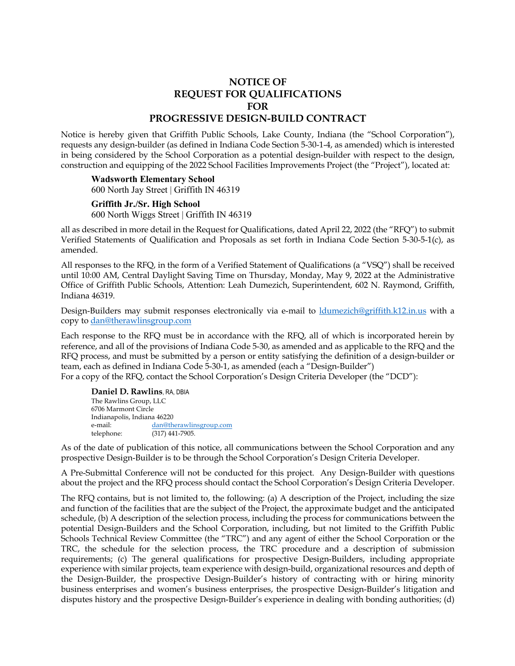## **NOTICE OF REQUEST FOR QUALIFICATIONS FOR PROGRESSIVE DESIGN-BUILD CONTRACT**

Notice is hereby given that Griffith Public Schools, Lake County, Indiana (the "School Corporation"), requests any design-builder (as defined in Indiana Code Section 5-30-1-4, as amended) which is interested in being considered by the School Corporation as a potential design-builder with respect to the design, construction and equipping of the 2022 School Facilities Improvements Project (the "Project"), located at:

## **Wadsworth Elementary School**

600 North Jay Street | Griffith IN 46319

## **Griffith Jr./Sr. High School**

600 North Wiggs Street | Griffith IN 46319

all as described in more detail in the Request for Qualifications, dated April 22, 2022 (the "RFQ") to submit Verified Statements of Qualification and Proposals as set forth in Indiana Code Section 5-30-5-1(c), as amended.

All responses to the RFQ, in the form of a Verified Statement of Qualifications (a "VSQ") shall be received until 10:00 AM, Central Daylight Saving Time on Thursday, Monday, May 9, 2022 at the Administrative Office of Griffith Public Schools, Attention: Leah Dumezich, Superintendent, 602 N. Raymond, Griffith, Indiana 46319.

Design-Builders may submit responses electronically via e-mail to ldumezich@griffith.k12.in.us with a copy to dan@therawlinsgroup.com

Each response to the RFQ must be in accordance with the RFQ, all of which is incorporated herein by reference, and all of the provisions of Indiana Code 5-30, as amended and as applicable to the RFQ and the RFQ process, and must be submitted by a person or entity satisfying the definition of a design-builder or team, each as defined in Indiana Code 5-30-1, as amended (each a "Design-Builder") For a copy of the RFQ, contact the School Corporation's Design Criteria Developer (the "DCD"):

**Daniel D. Rawlins**, RA, DBIA The Rawlins Group, LLC 6706 Marmont Circle Indianapolis, Indiana 46220 e-mail: dan@therawlinsgroup.com telephone: (317) 441-7905.

As of the date of publication of this notice, all communications between the School Corporation and any prospective Design-Builder is to be through the School Corporation's Design Criteria Developer.

A Pre-Submittal Conference will not be conducted for this project. Any Design-Builder with questions about the project and the RFQ process should contact the School Corporation's Design Criteria Developer.

The RFQ contains, but is not limited to, the following: (a) A description of the Project, including the size and function of the facilities that are the subject of the Project, the approximate budget and the anticipated schedule, (b) A description of the selection process, including the process for communications between the potential Design-Builders and the School Corporation, including, but not limited to the Griffith Public Schools Technical Review Committee (the "TRC") and any agent of either the School Corporation or the TRC, the schedule for the selection process, the TRC procedure and a description of submission requirements; (c) The general qualifications for prospective Design-Builders, including appropriate experience with similar projects, team experience with design-build, organizational resources and depth of the Design-Builder, the prospective Design-Builder's history of contracting with or hiring minority business enterprises and women's business enterprises, the prospective Design-Builder's litigation and disputes history and the prospective Design-Builder's experience in dealing with bonding authorities; (d)